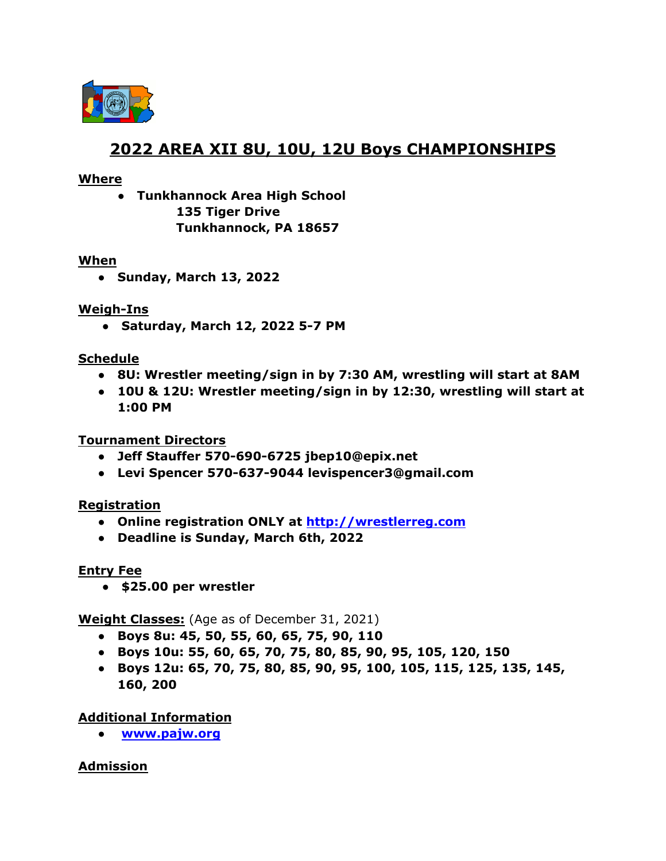

# **2022 AREA XII 8U, 10U, 12U Boys CHAMPIONSHIPS**

#### **Where**

**● Tunkhannock Area High School 135 Tiger Drive Tunkhannock, PA 18657**

#### **When**

**● Sunday, March 13, 2022**

## **Weigh-Ins**

**● Saturday, March 12, 2022 5-7 PM**

#### **Schedule**

- **● 8U: Wrestler meeting/sign in by 7:30 AM, wrestling will start at 8AM**
- **● 10U & 12U: Wrestler meeting/sign in by 12:30, wrestling will start at 1:00 PM**

## **Tournament Directors**

- **● Jeff Stauffer 570-690-6725 jbep10@epix.net**
- **● Levi Spencer 570-637-9044 levispencer3@gmail.com**

## **Registration**

- **● Online registration ONLY at <http://wrestlerreg.com>**
- **Deadline is Sunday, March 6th, 2022**

## **Entry Fee**

● **\$25.00 per wrestler**

**Weight Classes:** (Age as of December 31, 2021)

- **● Boys 8u: 45, 50, 55, 60, 65, 75, 90, 110**
- **● Boys 10u: 55, 60, 65, 70, 75, 80, 85, 90, 95, 105, 120, 150**
- **● Boys 12u: 65, 70, 75, 80, 85, 90, 95, 100, 105, 115, 125, 135, 145, 160, 200**

## **Additional Information**

**● [www.pajw.org](http://www.pajw.org)**

## **Admission**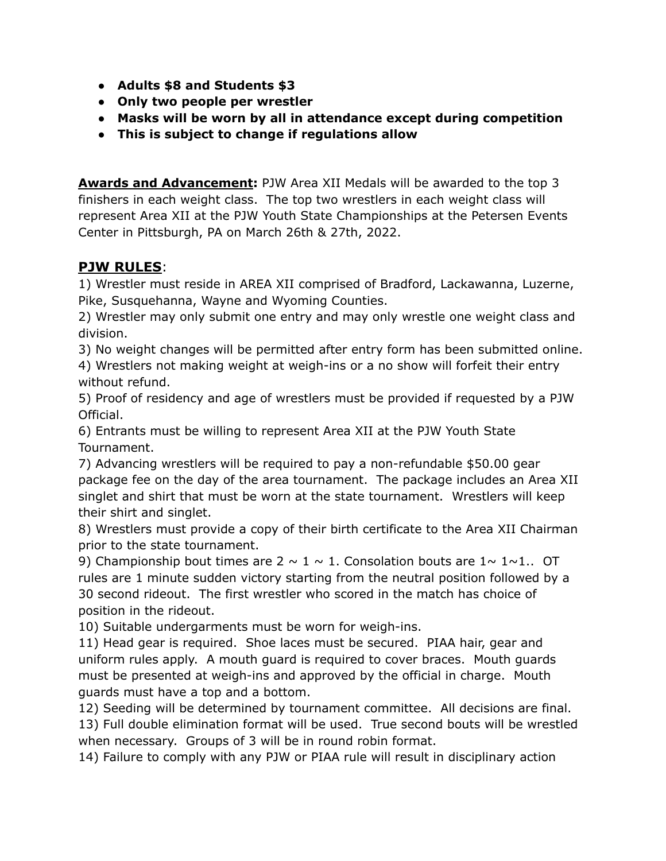- **Adults \$8 and Students \$3**
- **● Only two people per wrestler**
- **● Masks will be worn by all in attendance except during competition**
- **● This is subject to change if regulations allow**

**Awards and Advancement:** PJW Area XII Medals will be awarded to the top 3 finishers in each weight class. The top two wrestlers in each weight class will represent Area XII at the PJW Youth State Championships at the Petersen Events Center in Pittsburgh, PA on March 26th & 27th, 2022.

# **PJW RULES**:

1) Wrestler must reside in AREA XII comprised of Bradford, Lackawanna, Luzerne, Pike, Susquehanna, Wayne and Wyoming Counties.

2) Wrestler may only submit one entry and may only wrestle one weight class and division.

3) No weight changes will be permitted after entry form has been submitted online. 4) Wrestlers not making weight at weigh-ins or a no show will forfeit their entry without refund.

5) Proof of residency and age of wrestlers must be provided if requested by a PJW Official.

6) Entrants must be willing to represent Area XII at the PJW Youth State Tournament.

7) Advancing wrestlers will be required to pay a non-refundable \$50.00 gear package fee on the day of the area tournament. The package includes an Area XII singlet and shirt that must be worn at the state tournament. Wrestlers will keep their shirt and singlet.

8) Wrestlers must provide a copy of their birth certificate to the Area XII Chairman prior to the state tournament.

9) Championship bout times are  $2 \sim 1 \sim 1$ . Consolation bouts are  $1 \sim 1 \sim 1$ .. OT rules are 1 minute sudden victory starting from the neutral position followed by a 30 second rideout. The first wrestler who scored in the match has choice of position in the rideout.

10) Suitable undergarments must be worn for weigh-ins.

11) Head gear is required. Shoe laces must be secured. PIAA hair, gear and uniform rules apply. A mouth guard is required to cover braces. Mouth guards must be presented at weigh-ins and approved by the official in charge. Mouth guards must have a top and a bottom.

12) Seeding will be determined by tournament committee. All decisions are final. 13) Full double elimination format will be used. True second bouts will be wrestled when necessary. Groups of 3 will be in round robin format.

14) Failure to comply with any PJW or PIAA rule will result in disciplinary action